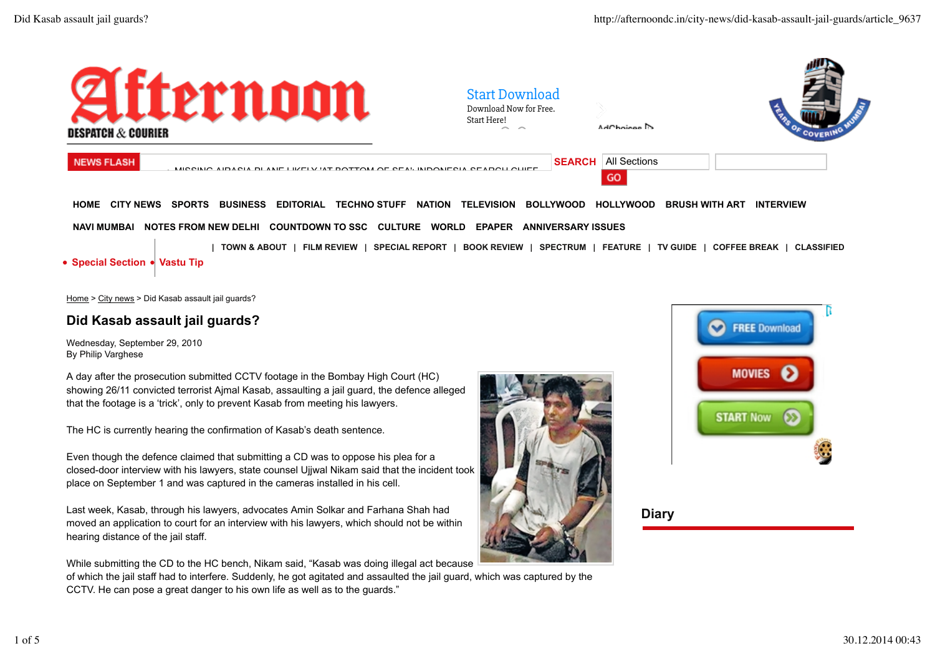

 **HOME CITY NEWS SPORTS BUSINESS EDITORIAL TECHNO STUFF NATION TELEVISION BOLLYWOOD HOLLYWOOD BRUSH WITH ART INTERVIEW NAVI MUMBAI NOTES FROM NEW DELHI COUNTDOWN TO SSC CULTURE WORLD EPAPER ANNIVERSARY ISSUES**

**| TOWN & ABOUT | FILM REVIEW | SPECIAL REPORT | BOOK REVIEW | SPECTRUM | FEATURE | TV GUIDE | COFFEE BREAK | CLASSIFIED** 

## **Special Section Vastu Tip**

Home > City news > Did Kasab assault jail guards?

## **Did Kasab assault jail guards?**

Wednesday, September 29, 2010 By Philip Varghese

A day after the prosecution submitted CCTV footage in the Bombay High Court (HC) showing 26/11 convicted terrorist Ajmal Kasab, assaulting a jail guard, the defence alleged that the footage is a 'trick', only to prevent Kasab from meeting his lawyers.

The HC is currently hearing the confirmation of Kasab's death sentence.

Even though the defence claimed that submitting a CD was to oppose his plea for a closed-door interview with his lawyers, state counsel Ujjwal Nikam said that the incident took place on September 1 and was captured in the cameras installed in his cell.

Last week, Kasab, through his lawyers, advocates Amin Solkar and Farhana Shah had moved an application to court for an interview with his lawyers, which should not be within hearing distance of the jail staff.

While submitting the CD to the HC bench, Nikam said, "Kasab was doing illegal act because

of which the jail staff had to interfere. Suddenly, he got agitated and assaulted the jail guard, which was captured by the CCTV. He can pose a great danger to his own life as well as to the guards."



**Diary**